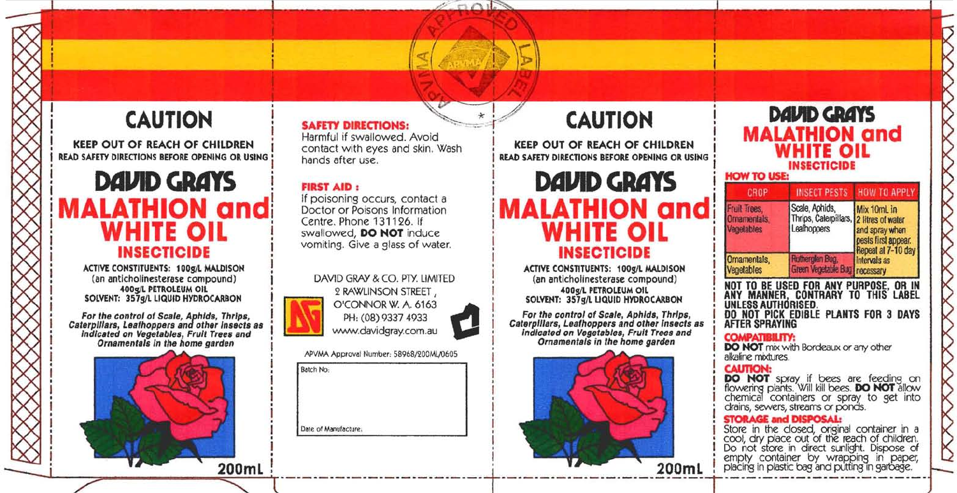# **CAUTION**

**KEEP OUT OF REACH OF CHILDREN** READ SAFETY DIRECTIONS BEFORE OPENING OR USING

### **DAVID GRAYS MALATHION and** WHITE OIL **INSECTICIDE**

ACTIVE CONSTITUENTS: 100g/L MALDISON (an anticholinesterase compound) 400g/L PETROLEUM OIL SOLVENT: 357g/L LIQUID HYDROCARBON

For the control of Scale, Aphids, Thrips,<br>Caterpillars, Leafhoppers and other insects as<br>indicated on Vegetables, Fruit Trees and Ornamentals in the home garden



#### **SAFETY DIRECTIONS:**

Harmful if swallowed, Avoid contact with eyes and skin. Wash hands after use.

 $2 \pi r$ 

**FIRST AID:** If poisoning occurs, contact a

Doctor or Poisons Information Centre, Phone 131126. If swallowed, DO NOT induce vomiting. Give a glass of water.

DAVID GRAY & CO. PTY, LIMITED 2 RAWLINSON STREET. O'CONNOR W. A. 6163 PH: (08) 9337 4933 www.davidgray.com.au

APVMA Approval Number: 58968/200ML/0605

**Batch No-**Date of Manufacture.

## **CAUTION**

**KEEP OUT OF REACH OF CHILDREN** READ SAFETY DIRECTIONS BEFORE OPENING OR USING

## **DAVID GRAYS MALATHION and WHITE OIL INSECTICIDE**

ACTIVE CONSTITUENTS: 100g/L MALDISON (an anticholinesterase compound) 400g/L PETROLEUM OIL SOLVENT: 357g/L LIQUID HYDROCARBON

For the control of Scale, Aphids, Thrips, Caterpillars, Leafhoppers and other insects as indicated on Vegetables, Fruit Trees and Ornamentals in the home garden



| <b>DAVID GRAYS</b><br><b>MALATHION and</b><br><b>WHITE OIL</b><br><b>INSECTICIDE</b><br><b>HOW TO USE:</b> |                                                                                                                     |                                                                                                   |  |  |
|------------------------------------------------------------------------------------------------------------|---------------------------------------------------------------------------------------------------------------------|---------------------------------------------------------------------------------------------------|--|--|
| CROP                                                                                                       | <b>INSECT PESTS</b>                                                                                                 | <b>HOW TO APPLY</b>                                                                               |  |  |
| Fruit Trees.<br>Ornamentals.<br>Vegelables                                                                 | Scale, Aphids,<br>Thrips, Calerpillars, 2 litres of water<br>Leafhoppers                                            | Mix 10mL in<br>and spray when<br>pests first appear.<br>Repeat at 7-10 day<br><b>Intervals as</b> |  |  |
| Omamentals,<br>Vegetables                                                                                  | <b>Rutherglen Bug.</b><br>Green Vegetable Bug   necessary                                                           |                                                                                                   |  |  |
| UNLESS AUTHORISED.<br>AFTER SPRAYING                                                                       | NOT TO BE USED FOR ANY PURPOSE, OR IN<br>ANY MANNER, CONTRARY TO THIS LABEL<br>DO NOT PICK EDIBLE PLANTS FOR 3 DAYS |                                                                                                   |  |  |
| <b>COMPATIBILITY:</b>                                                                                      | <b>DO NOT</b> mix with Bordeaux or any other<br>alkaline modures.                                                   |                                                                                                   |  |  |

**STORAGE and DISPOSAL:** 

Store in the closed, original container in a<br>cool, dry place out of the reach of children.<br>Do not store in direct sunlight. Dispose of empty container by wrapping in paper, placing in plastic bag and putting in garbage.